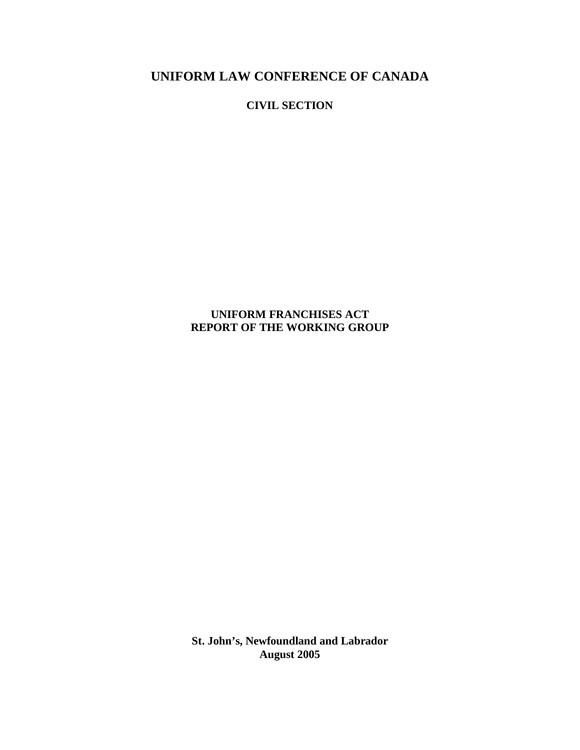**UNIFORM LAW CONFERENCE OF CANADA**

**CIVIL SECTION**

**UNIFORM FRANCHISES ACT REPORT OF THE WORKING GROUP**

**St. John's, Newfoundland and Labrador August 2005**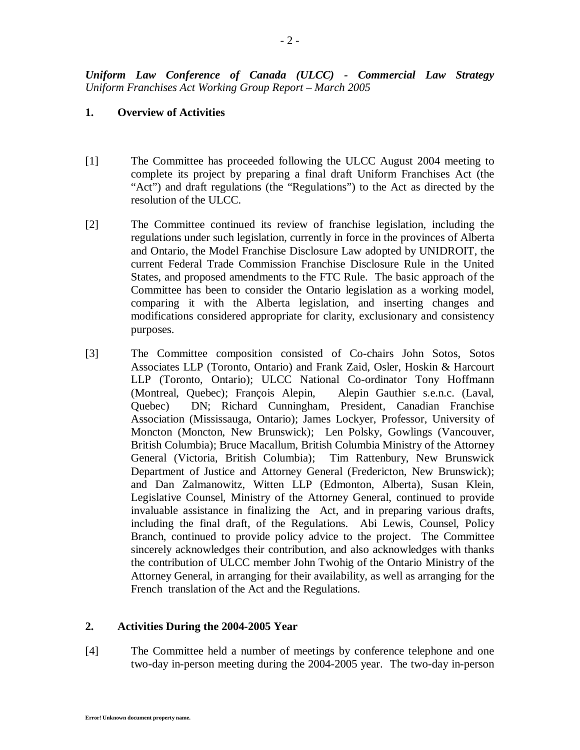# **1. Overview of Activities**

- [1] The Committee has proceeded following the ULCC August 2004 meeting to complete its project by preparing a final draft Uniform Franchises Act (the "Act") and draft regulations (the "Regulations") to the Act as directed by the resolution of the ULCC.
- [2] The Committee continued its review of franchise legislation, including the regulations under such legislation, currently in force in the provinces of Alberta and Ontario, the Model Franchise Disclosure Law adopted by UNIDROIT, the current Federal Trade Commission Franchise Disclosure Rule in the United States, and proposed amendments to the FTC Rule. The basic approach of the Committee has been to consider the Ontario legislation as a working model, comparing it with the Alberta legislation, and inserting changes and modifications considered appropriate for clarity, exclusionary and consistency purposes.
- [3] The Committee composition consisted of Co-chairs John Sotos, Sotos Associates LLP (Toronto, Ontario) and Frank Zaid, Osler, Hoskin & Harcourt LLP (Toronto, Ontario); ULCC National Co-ordinator Tony Hoffmann (Montreal, Quebec); François Alepin, Alepin Gauthier s.e.n.c. (Laval, Quebec) DN; Richard Cunningham, President, Canadian Franchise Association (Mississauga, Ontario); James Lockyer, Professor, University of Moncton (Moncton, New Brunswick); Len Polsky, Gowlings (Vancouver, British Columbia); Bruce Macallum, British Columbia Ministry of the Attorney General (Victoria, British Columbia); Tim Rattenbury, New Brunswick Department of Justice and Attorney General (Fredericton, New Brunswick); and Dan Zalmanowitz, Witten LLP (Edmonton, Alberta), Susan Klein, Legislative Counsel, Ministry of the Attorney General, continued to provide invaluable assistance in finalizing the Act, and in preparing various drafts, including the final draft, of the Regulations. Abi Lewis, Counsel, Policy Branch, continued to provide policy advice to the project. The Committee sincerely acknowledges their contribution, and also acknowledges with thanks the contribution of ULCC member John Twohig of the Ontario Ministry of the Attorney General, in arranging for their availability, as well as arranging for the French translation of the Act and the Regulations.

## **2. Activities During the 2004-2005 Year**

[4] The Committee held a number of meetings by conference telephone and one two-day in-person meeting during the 2004-2005 year. The two-day in-person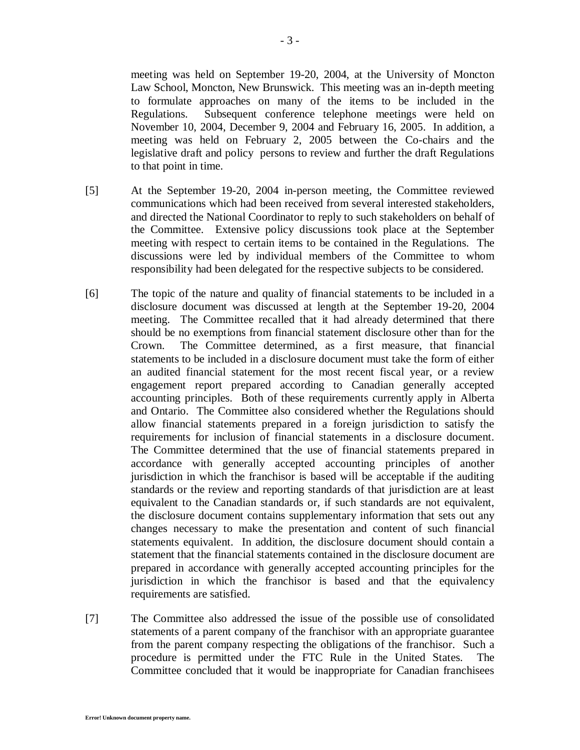meeting was held on September 19-20, 2004, at the University of Moncton Law School, Moncton, New Brunswick. This meeting was an in-depth meeting to formulate approaches on many of the items to be included in the Regulations. Subsequent conference telephone meetings were held on November 10, 2004, December 9, 2004 and February 16, 2005. In addition, a meeting was held on February 2, 2005 between the Co-chairs and the legislative draft and policy persons to review and further the draft Regulations to that point in time.

- [5] At the September 19-20, 2004 in-person meeting, the Committee reviewed communications which had been received from several interested stakeholders, and directed the National Coordinator to reply to such stakeholders on behalf of the Committee. Extensive policy discussions took place at the September meeting with respect to certain items to be contained in the Regulations. The discussions were led by individual members of the Committee to whom responsibility had been delegated for the respective subjects to be considered.
- [6] The topic of the nature and quality of financial statements to be included in a disclosure document was discussed at length at the September 19-20, 2004 meeting. The Committee recalled that it had already determined that there should be no exemptions from financial statement disclosure other than for the Crown. The Committee determined, as a first measure, that financial statements to be included in a disclosure document must take the form of either an audited financial statement for the most recent fiscal year, or a review engagement report prepared according to Canadian generally accepted accounting principles. Both of these requirements currently apply in Alberta and Ontario. The Committee also considered whether the Regulations should allow financial statements prepared in a foreign jurisdiction to satisfy the requirements for inclusion of financial statements in a disclosure document. The Committee determined that the use of financial statements prepared in accordance with generally accepted accounting principles of another jurisdiction in which the franchisor is based will be acceptable if the auditing standards or the review and reporting standards of that jurisdiction are at least equivalent to the Canadian standards or, if such standards are not equivalent, the disclosure document contains supplementary information that sets out any changes necessary to make the presentation and content of such financial statements equivalent. In addition, the disclosure document should contain a statement that the financial statements contained in the disclosure document are prepared in accordance with generally accepted accounting principles for the jurisdiction in which the franchisor is based and that the equivalency requirements are satisfied.
- [7] The Committee also addressed the issue of the possible use of consolidated statements of a parent company of the franchisor with an appropriate guarantee from the parent company respecting the obligations of the franchisor. Such a procedure is permitted under the FTC Rule in the United States. The Committee concluded that it would be inappropriate for Canadian franchisees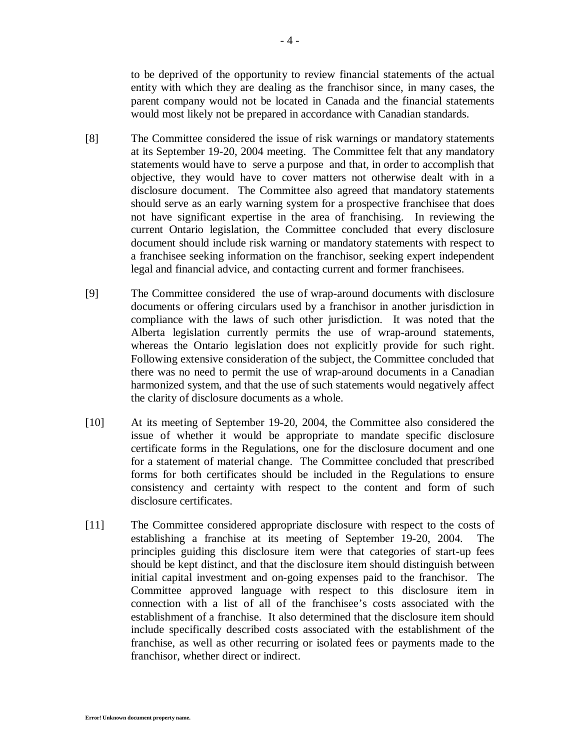to be deprived of the opportunity to review financial statements of the actual entity with which they are dealing as the franchisor since, in many cases, the parent company would not be located in Canada and the financial statements would most likely not be prepared in accordance with Canadian standards.

- [8] The Committee considered the issue of risk warnings or mandatory statements at its September 19-20, 2004 meeting. The Committee felt that any mandatory statements would have to serve a purpose and that, in order to accomplish that objective, they would have to cover matters not otherwise dealt with in a disclosure document. The Committee also agreed that mandatory statements should serve as an early warning system for a prospective franchisee that does not have significant expertise in the area of franchising. In reviewing the current Ontario legislation, the Committee concluded that every disclosure document should include risk warning or mandatory statements with respect to a franchisee seeking information on the franchisor, seeking expert independent legal and financial advice, and contacting current and former franchisees.
- [9] The Committee considered the use of wrap-around documents with disclosure documents or offering circulars used by a franchisor in another jurisdiction in compliance with the laws of such other jurisdiction. It was noted that the Alberta legislation currently permits the use of wrap-around statements, whereas the Ontario legislation does not explicitly provide for such right. Following extensive consideration of the subject, the Committee concluded that there was no need to permit the use of wrap-around documents in a Canadian harmonized system, and that the use of such statements would negatively affect the clarity of disclosure documents as a whole.
- [10] At its meeting of September 19-20, 2004, the Committee also considered the issue of whether it would be appropriate to mandate specific disclosure certificate forms in the Regulations, one for the disclosure document and one for a statement of material change. The Committee concluded that prescribed forms for both certificates should be included in the Regulations to ensure consistency and certainty with respect to the content and form of such disclosure certificates.
- [11] The Committee considered appropriate disclosure with respect to the costs of establishing a franchise at its meeting of September 19-20, 2004. The principles guiding this disclosure item were that categories of start-up fees should be kept distinct, and that the disclosure item should distinguish between initial capital investment and on-going expenses paid to the franchisor. The Committee approved language with respect to this disclosure item in connection with a list of all of the franchisee's costs associated with the establishment of a franchise. It also determined that the disclosure item should include specifically described costs associated with the establishment of the franchise, as well as other recurring or isolated fees or payments made to the franchisor, whether direct or indirect.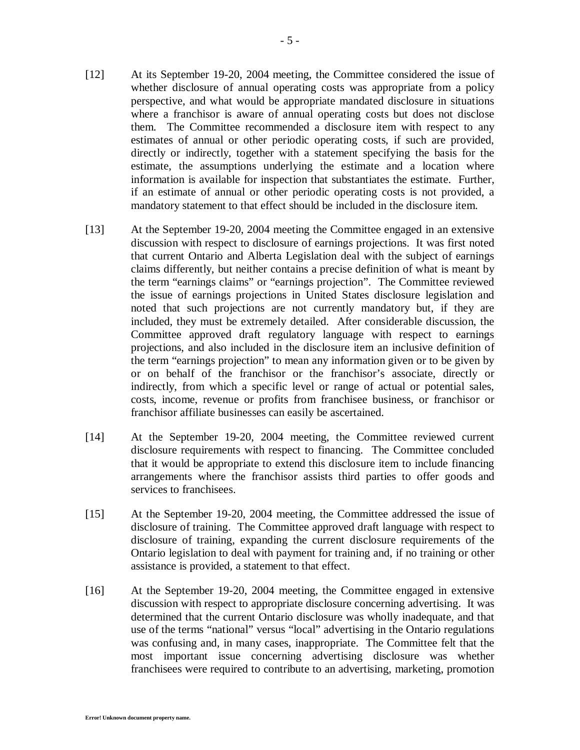- [12] At its September 19-20, 2004 meeting, the Committee considered the issue of whether disclosure of annual operating costs was appropriate from a policy perspective, and what would be appropriate mandated disclosure in situations where a franchisor is aware of annual operating costs but does not disclose them. The Committee recommended a disclosure item with respect to any estimates of annual or other periodic operating costs, if such are provided, directly or indirectly, together with a statement specifying the basis for the estimate, the assumptions underlying the estimate and a location where information is available for inspection that substantiates the estimate. Further, if an estimate of annual or other periodic operating costs is not provided, a mandatory statement to that effect should be included in the disclosure item.
- [13] At the September 19-20, 2004 meeting the Committee engaged in an extensive discussion with respect to disclosure of earnings projections. It was first noted that current Ontario and Alberta Legislation deal with the subject of earnings claims differently, but neither contains a precise definition of what is meant by the term "earnings claims" or "earnings projection". The Committee reviewed the issue of earnings projections in United States disclosure legislation and noted that such projections are not currently mandatory but, if they are included, they must be extremely detailed. After considerable discussion, the Committee approved draft regulatory language with respect to earnings projections, and also included in the disclosure item an inclusive definition of the term "earnings projection" to mean any information given or to be given by or on behalf of the franchisor or the franchisor's associate, directly or indirectly, from which a specific level or range of actual or potential sales, costs, income, revenue or profits from franchisee business, or franchisor or franchisor affiliate businesses can easily be ascertained.
- [14] At the September 19-20, 2004 meeting, the Committee reviewed current disclosure requirements with respect to financing. The Committee concluded that it would be appropriate to extend this disclosure item to include financing arrangements where the franchisor assists third parties to offer goods and services to franchisees.
- [15] At the September 19-20, 2004 meeting, the Committee addressed the issue of disclosure of training. The Committee approved draft language with respect to disclosure of training, expanding the current disclosure requirements of the Ontario legislation to deal with payment for training and, if no training or other assistance is provided, a statement to that effect.
- [16] At the September 19-20, 2004 meeting, the Committee engaged in extensive discussion with respect to appropriate disclosure concerning advertising. It was determined that the current Ontario disclosure was wholly inadequate, and that use of the terms "national" versus "local" advertising in the Ontario regulations was confusing and, in many cases, inappropriate. The Committee felt that the most important issue concerning advertising disclosure was whether franchisees were required to contribute to an advertising, marketing, promotion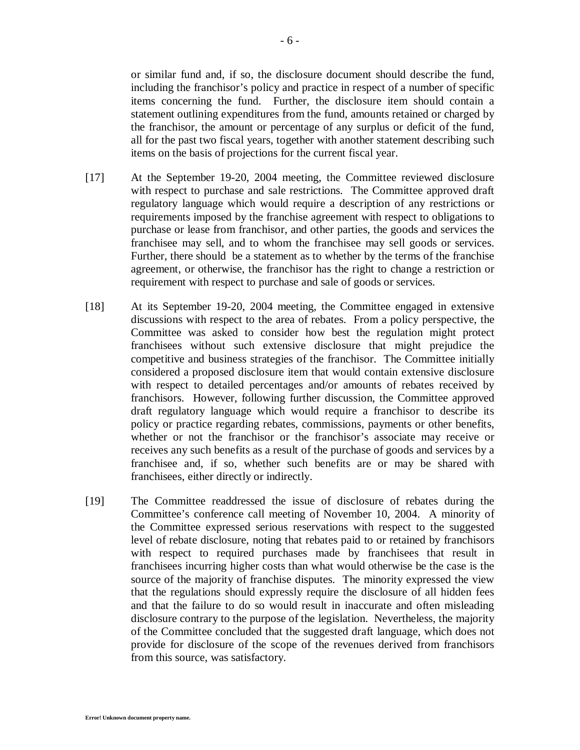or similar fund and, if so, the disclosure document should describe the fund, including the franchisor's policy and practice in respect of a number of specific items concerning the fund. Further, the disclosure item should contain a statement outlining expenditures from the fund, amounts retained or charged by the franchisor, the amount or percentage of any surplus or deficit of the fund, all for the past two fiscal years, together with another statement describing such items on the basis of projections for the current fiscal year.

- [17] At the September 19-20, 2004 meeting, the Committee reviewed disclosure with respect to purchase and sale restrictions. The Committee approved draft regulatory language which would require a description of any restrictions or requirements imposed by the franchise agreement with respect to obligations to purchase or lease from franchisor, and other parties, the goods and services the franchisee may sell, and to whom the franchisee may sell goods or services. Further, there should be a statement as to whether by the terms of the franchise agreement, or otherwise, the franchisor has the right to change a restriction or requirement with respect to purchase and sale of goods or services.
- [18] At its September 19-20, 2004 meeting, the Committee engaged in extensive discussions with respect to the area of rebates. From a policy perspective, the Committee was asked to consider how best the regulation might protect franchisees without such extensive disclosure that might prejudice the competitive and business strategies of the franchisor. The Committee initially considered a proposed disclosure item that would contain extensive disclosure with respect to detailed percentages and/or amounts of rebates received by franchisors. However, following further discussion, the Committee approved draft regulatory language which would require a franchisor to describe its policy or practice regarding rebates, commissions, payments or other benefits, whether or not the franchisor or the franchisor's associate may receive or receives any such benefits as a result of the purchase of goods and services by a franchisee and, if so, whether such benefits are or may be shared with franchisees, either directly or indirectly.
- [19] The Committee readdressed the issue of disclosure of rebates during the Committee's conference call meeting of November 10, 2004. A minority of the Committee expressed serious reservations with respect to the suggested level of rebate disclosure, noting that rebates paid to or retained by franchisors with respect to required purchases made by franchisees that result in franchisees incurring higher costs than what would otherwise be the case is the source of the majority of franchise disputes. The minority expressed the view that the regulations should expressly require the disclosure of all hidden fees and that the failure to do so would result in inaccurate and often misleading disclosure contrary to the purpose of the legislation. Nevertheless, the majority of the Committee concluded that the suggested draft language, which does not provide for disclosure of the scope of the revenues derived from franchisors from this source, was satisfactory.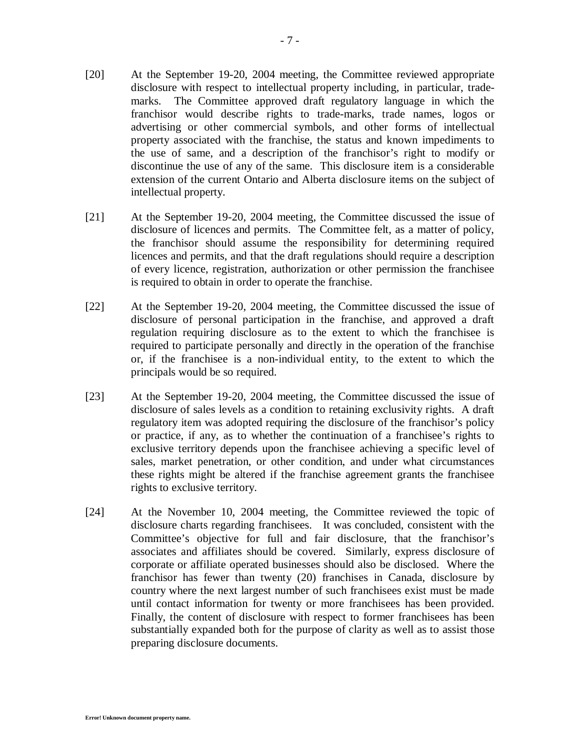- [20] At the September 19-20, 2004 meeting, the Committee reviewed appropriate disclosure with respect to intellectual property including, in particular, trademarks. The Committee approved draft regulatory language in which the franchisor would describe rights to trade-marks, trade names, logos or advertising or other commercial symbols, and other forms of intellectual property associated with the franchise, the status and known impediments to the use of same, and a description of the franchisor's right to modify or discontinue the use of any of the same. This disclosure item is a considerable extension of the current Ontario and Alberta disclosure items on the subject of intellectual property.
- [21] At the September 19-20, 2004 meeting, the Committee discussed the issue of disclosure of licences and permits. The Committee felt, as a matter of policy, the franchisor should assume the responsibility for determining required licences and permits, and that the draft regulations should require a description of every licence, registration, authorization or other permission the franchisee is required to obtain in order to operate the franchise.
- [22] At the September 19-20, 2004 meeting, the Committee discussed the issue of disclosure of personal participation in the franchise, and approved a draft regulation requiring disclosure as to the extent to which the franchisee is required to participate personally and directly in the operation of the franchise or, if the franchisee is a non-individual entity, to the extent to which the principals would be so required.
- [23] At the September 19-20, 2004 meeting, the Committee discussed the issue of disclosure of sales levels as a condition to retaining exclusivity rights. A draft regulatory item was adopted requiring the disclosure of the franchisor's policy or practice, if any, as to whether the continuation of a franchisee's rights to exclusive territory depends upon the franchisee achieving a specific level of sales, market penetration, or other condition, and under what circumstances these rights might be altered if the franchise agreement grants the franchisee rights to exclusive territory.
- [24] At the November 10, 2004 meeting, the Committee reviewed the topic of disclosure charts regarding franchisees. It was concluded, consistent with the Committee's objective for full and fair disclosure, that the franchisor's associates and affiliates should be covered. Similarly, express disclosure of corporate or affiliate operated businesses should also be disclosed. Where the franchisor has fewer than twenty (20) franchises in Canada, disclosure by country where the next largest number of such franchisees exist must be made until contact information for twenty or more franchisees has been provided. Finally, the content of disclosure with respect to former franchisees has been substantially expanded both for the purpose of clarity as well as to assist those preparing disclosure documents.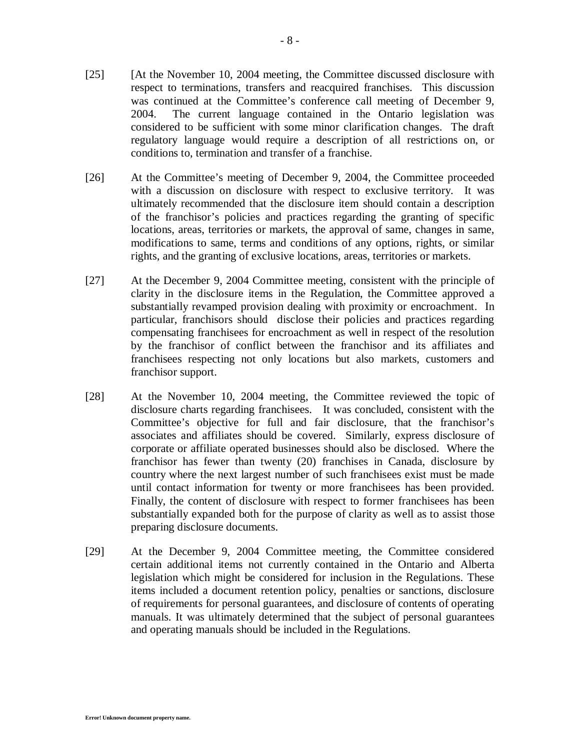- [25] [At the November 10, 2004 meeting, the Committee discussed disclosure with respect to terminations, transfers and reacquired franchises. This discussion was continued at the Committee's conference call meeting of December 9, 2004. The current language contained in the Ontario legislation was considered to be sufficient with some minor clarification changes. The draft regulatory language would require a description of all restrictions on, or conditions to, termination and transfer of a franchise.
- [26] At the Committee's meeting of December 9, 2004, the Committee proceeded with a discussion on disclosure with respect to exclusive territory. It was ultimately recommended that the disclosure item should contain a description of the franchisor's policies and practices regarding the granting of specific locations, areas, territories or markets, the approval of same, changes in same, modifications to same, terms and conditions of any options, rights, or similar rights, and the granting of exclusive locations, areas, territories or markets.
- [27] At the December 9, 2004 Committee meeting, consistent with the principle of clarity in the disclosure items in the Regulation, the Committee approved a substantially revamped provision dealing with proximity or encroachment. In particular, franchisors should disclose their policies and practices regarding compensating franchisees for encroachment as well in respect of the resolution by the franchisor of conflict between the franchisor and its affiliates and franchisees respecting not only locations but also markets, customers and franchisor support.
- [28] At the November 10, 2004 meeting, the Committee reviewed the topic of disclosure charts regarding franchisees. It was concluded, consistent with the Committee's objective for full and fair disclosure, that the franchisor's associates and affiliates should be covered. Similarly, express disclosure of corporate or affiliate operated businesses should also be disclosed. Where the franchisor has fewer than twenty (20) franchises in Canada, disclosure by country where the next largest number of such franchisees exist must be made until contact information for twenty or more franchisees has been provided. Finally, the content of disclosure with respect to former franchisees has been substantially expanded both for the purpose of clarity as well as to assist those preparing disclosure documents.
- [29] At the December 9, 2004 Committee meeting, the Committee considered certain additional items not currently contained in the Ontario and Alberta legislation which might be considered for inclusion in the Regulations. These items included a document retention policy, penalties or sanctions, disclosure of requirements for personal guarantees, and disclosure of contents of operating manuals. It was ultimately determined that the subject of personal guarantees and operating manuals should be included in the Regulations.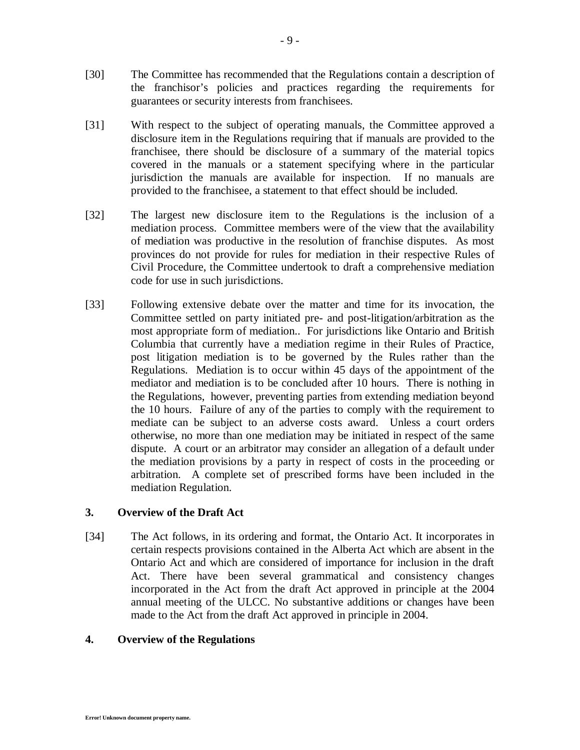- [30] The Committee has recommended that the Regulations contain a description of the franchisor's policies and practices regarding the requirements for guarantees or security interests from franchisees.
- [31] With respect to the subject of operating manuals, the Committee approved a disclosure item in the Regulations requiring that if manuals are provided to the franchisee, there should be disclosure of a summary of the material topics covered in the manuals or a statement specifying where in the particular jurisdiction the manuals are available for inspection. If no manuals are provided to the franchisee, a statement to that effect should be included.
- [32] The largest new disclosure item to the Regulations is the inclusion of a mediation process. Committee members were of the view that the availability of mediation was productive in the resolution of franchise disputes. As most provinces do not provide for rules for mediation in their respective Rules of Civil Procedure, the Committee undertook to draft a comprehensive mediation code for use in such jurisdictions.
- [33] Following extensive debate over the matter and time for its invocation, the Committee settled on party initiated pre- and post-litigation/arbitration as the most appropriate form of mediation.. For jurisdictions like Ontario and British Columbia that currently have a mediation regime in their Rules of Practice, post litigation mediation is to be governed by the Rules rather than the Regulations. Mediation is to occur within 45 days of the appointment of the mediator and mediation is to be concluded after 10 hours. There is nothing in the Regulations, however, preventing parties from extending mediation beyond the 10 hours. Failure of any of the parties to comply with the requirement to mediate can be subject to an adverse costs award. Unless a court orders otherwise, no more than one mediation may be initiated in respect of the same dispute. A court or an arbitrator may consider an allegation of a default under the mediation provisions by a party in respect of costs in the proceeding or arbitration. A complete set of prescribed forms have been included in the mediation Regulation.

## **3. Overview of the Draft Act**

[34] The Act follows, in its ordering and format, the Ontario Act. It incorporates in certain respects provisions contained in the Alberta Act which are absent in the Ontario Act and which are considered of importance for inclusion in the draft Act. There have been several grammatical and consistency changes incorporated in the Act from the draft Act approved in principle at the 2004 annual meeting of the ULCC. No substantive additions or changes have been made to the Act from the draft Act approved in principle in 2004.

#### **4. Overview of the Regulations**